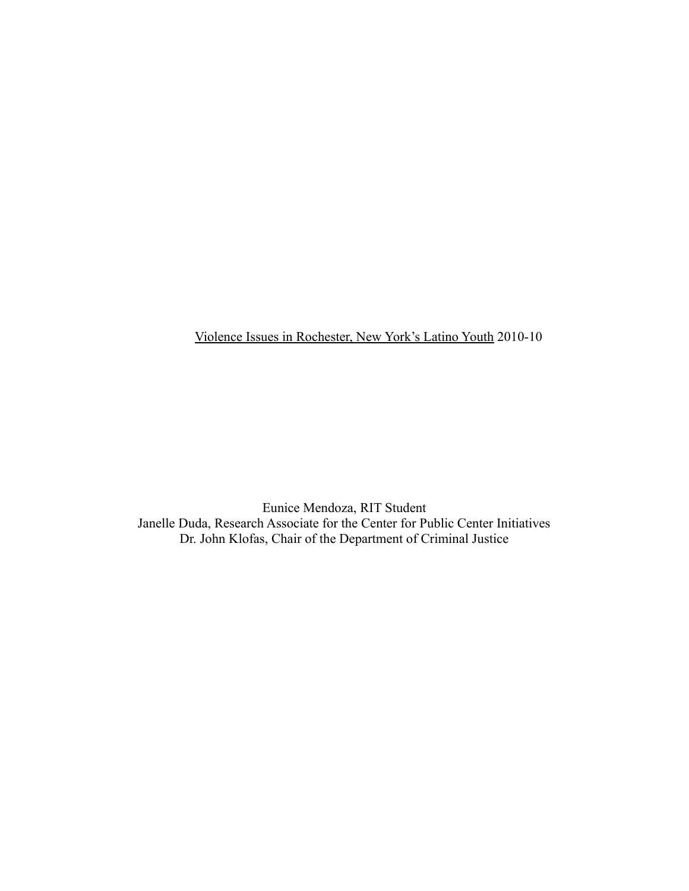Violence Issues in Rochester, New York's Latino Youth 2010-10

Eunice Mendoza, RIT Student Janelle Duda, Research Associate for the Center for Public Center Initiatives Dr. John Klofas, Chair of the Department of Criminal Justice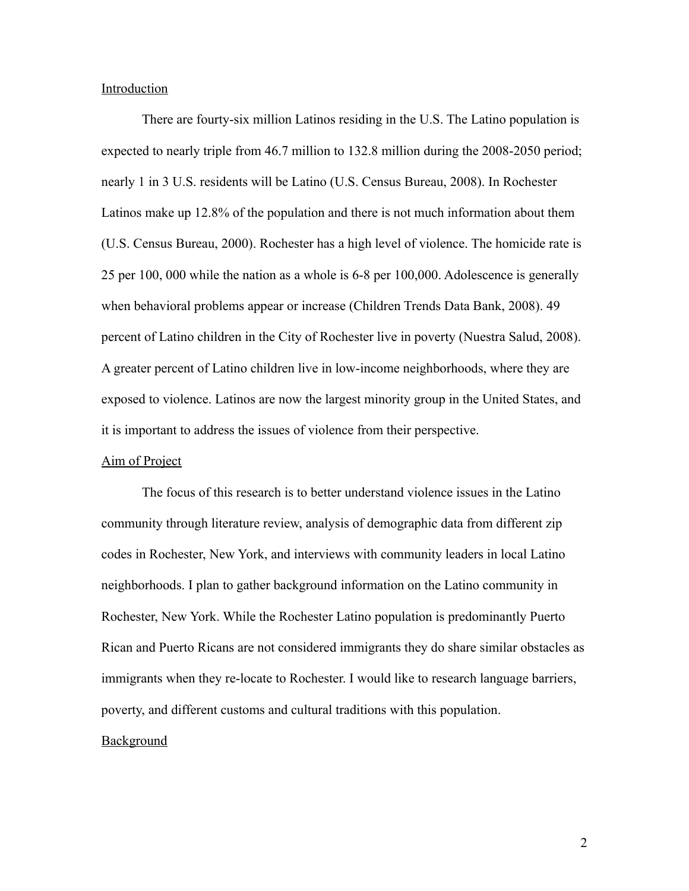## Introduction

There are fourty-six million Latinos residing in the U.S. The Latino population is expected to nearly triple from 46.7 million to 132.8 million during the 2008-2050 period; nearly 1 in 3 U.S. residents will be Latino (U.S. Census Bureau, 2008). In Rochester Latinos make up 12.8% of the population and there is not much information about them (U.S. Census Bureau, 2000). Rochester has a high level of violence. The homicide rate is 25 per 100, 000 while the nation as a whole is 6-8 per 100,000. Adolescence is generally when behavioral problems appear or increase (Children Trends Data Bank, 2008). 49 percent of Latino children in the City of Rochester live in poverty (Nuestra Salud, 2008). A greater percent of Latino children live in low-income neighborhoods, where they are exposed to violence. Latinos are now the largest minority group in the United States, and it is important to address the issues of violence from their perspective.

# Aim of Project

The focus of this research is to better understand violence issues in the Latino community through literature review, analysis of demographic data from different zip codes in Rochester, New York, and interviews with community leaders in local Latino neighborhoods. I plan to gather background information on the Latino community in Rochester, New York. While the Rochester Latino population is predominantly Puerto Rican and Puerto Ricans are not considered immigrants they do share similar obstacles as immigrants when they re-locate to Rochester. I would like to research language barriers, poverty, and different customs and cultural traditions with this population.

# Background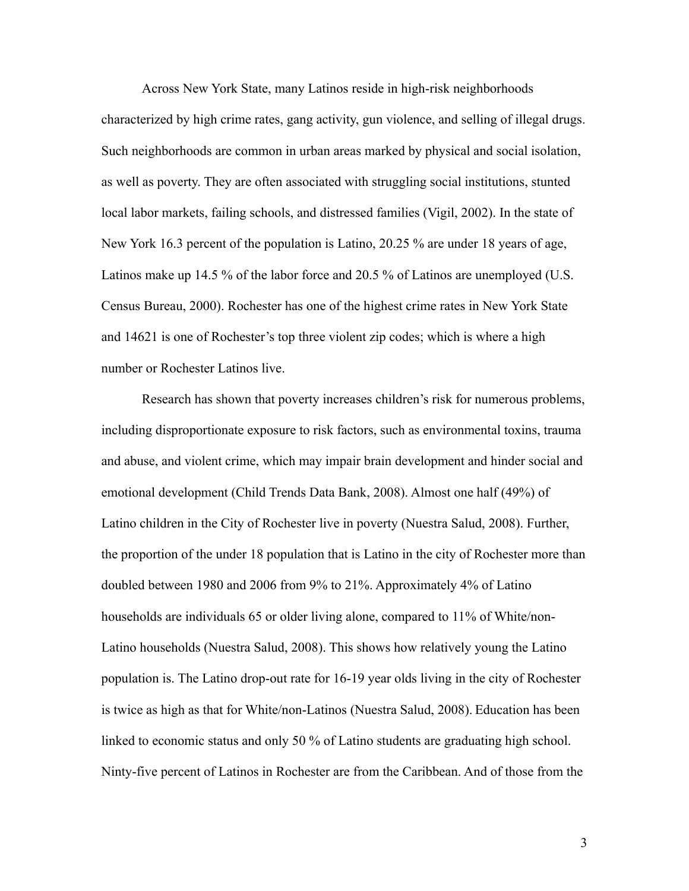Across New York State, many Latinos reside in high-risk neighborhoods characterized by high crime rates, gang activity, gun violence, and selling of illegal drugs. Such neighborhoods are common in urban areas marked by physical and social isolation, as well as poverty. They are often associated with struggling social institutions, stunted local labor markets, failing schools, and distressed families (Vigil, 2002). In the state of New York 16.3 percent of the population is Latino, 20.25 % are under 18 years of age, Latinos make up 14.5 % of the labor force and 20.5 % of Latinos are unemployed (U.S. Census Bureau, 2000). Rochester has one of the highest crime rates in New York State and 14621 is one of Rochester's top three violent zip codes; which is where a high number or Rochester Latinos live.

Research has shown that poverty increases children's risk for numerous problems, including disproportionate exposure to risk factors, such as environmental toxins, trauma and abuse, and violent crime, which may impair brain development and hinder social and emotional development (Child Trends Data Bank, 2008). Almost one half (49%) of Latino children in the City of Rochester live in poverty (Nuestra Salud, 2008). Further, the proportion of the under 18 population that is Latino in the city of Rochester more than doubled between 1980 and 2006 from 9% to 21%. Approximately 4% of Latino households are individuals 65 or older living alone, compared to 11% of White/non-Latino households (Nuestra Salud, 2008). This shows how relatively young the Latino population is. The Latino drop-out rate for 16-19 year olds living in the city of Rochester is twice as high as that for White/non-Latinos (Nuestra Salud, 2008). Education has been linked to economic status and only 50 % of Latino students are graduating high school. Ninty-five percent of Latinos in Rochester are from the Caribbean. And of those from the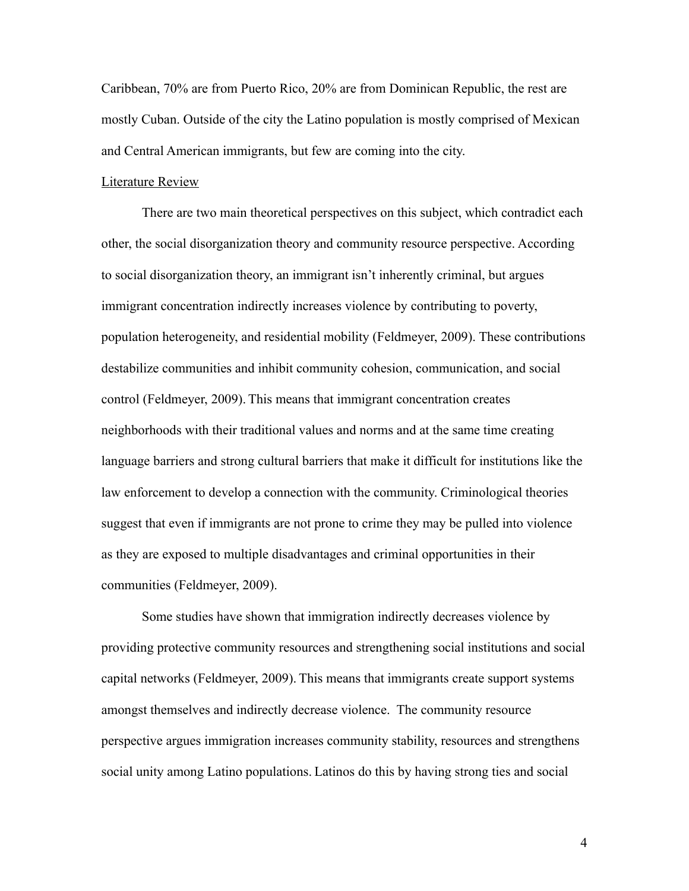Caribbean, 70% are from Puerto Rico, 20% are from Dominican Republic, the rest are mostly Cuban. Outside of the city the Latino population is mostly comprised of Mexican and Central American immigrants, but few are coming into the city.

# Literature Review

There are two main theoretical perspectives on this subject, which contradict each other, the social disorganization theory and community resource perspective. According to social disorganization theory, an immigrant isn't inherently criminal, but argues immigrant concentration indirectly increases violence by contributing to poverty, population heterogeneity, and residential mobility (Feldmeyer, 2009). These contributions destabilize communities and inhibit community cohesion, communication, and social control (Feldmeyer, 2009). This means that immigrant concentration creates neighborhoods with their traditional values and norms and at the same time creating language barriers and strong cultural barriers that make it difficult for institutions like the law enforcement to develop a connection with the community. Criminological theories suggest that even if immigrants are not prone to crime they may be pulled into violence as they are exposed to multiple disadvantages and criminal opportunities in their communities (Feldmeyer, 2009).

Some studies have shown that immigration indirectly decreases violence by providing protective community resources and strengthening social institutions and social capital networks (Feldmeyer, 2009). This means that immigrants create support systems amongst themselves and indirectly decrease violence. The community resource perspective argues immigration increases community stability, resources and strengthens social unity among Latino populations. Latinos do this by having strong ties and social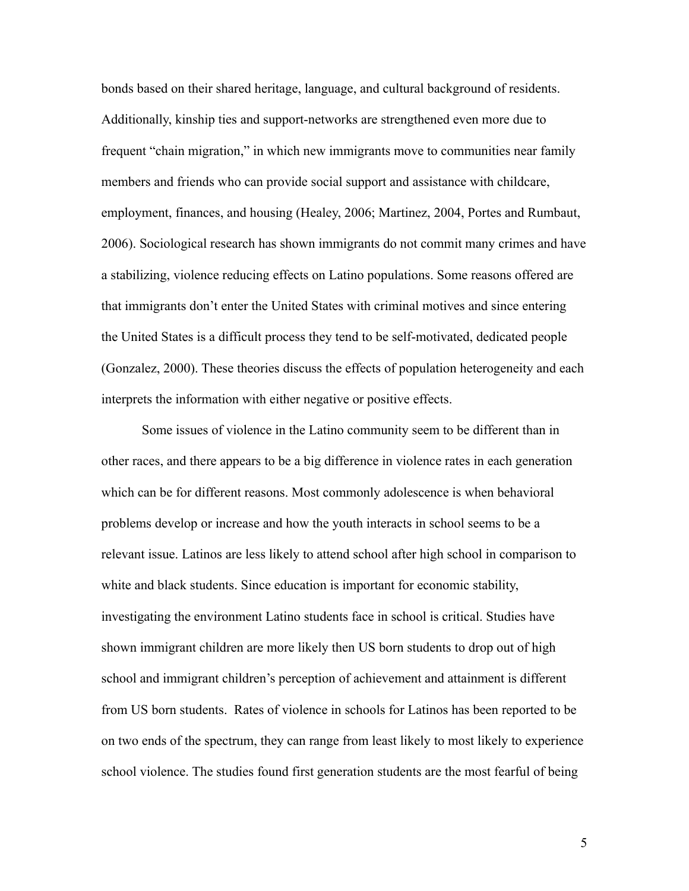bonds based on their shared heritage, language, and cultural background of residents. Additionally, kinship ties and support-networks are strengthened even more due to frequent "chain migration," in which new immigrants move to communities near family members and friends who can provide social support and assistance with childcare, employment, finances, and housing (Healey, 2006; Martinez, 2004, Portes and Rumbaut, 2006). Sociological research has shown immigrants do not commit many crimes and have a stabilizing, violence reducing effects on Latino populations. Some reasons offered are that immigrants don't enter the United States with criminal motives and since entering the United States is a difficult process they tend to be self-motivated, dedicated people (Gonzalez, 2000). These theories discuss the effects of population heterogeneity and each interprets the information with either negative or positive effects.

Some issues of violence in the Latino community seem to be different than in other races, and there appears to be a big difference in violence rates in each generation which can be for different reasons. Most commonly adolescence is when behavioral problems develop or increase and how the youth interacts in school seems to be a relevant issue. Latinos are less likely to attend school after high school in comparison to white and black students. Since education is important for economic stability, investigating the environment Latino students face in school is critical. Studies have shown immigrant children are more likely then US born students to drop out of high school and immigrant children's perception of achievement and attainment is different from US born students. Rates of violence in schools for Latinos has been reported to be on two ends of the spectrum, they can range from least likely to most likely to experience school violence. The studies found first generation students are the most fearful of being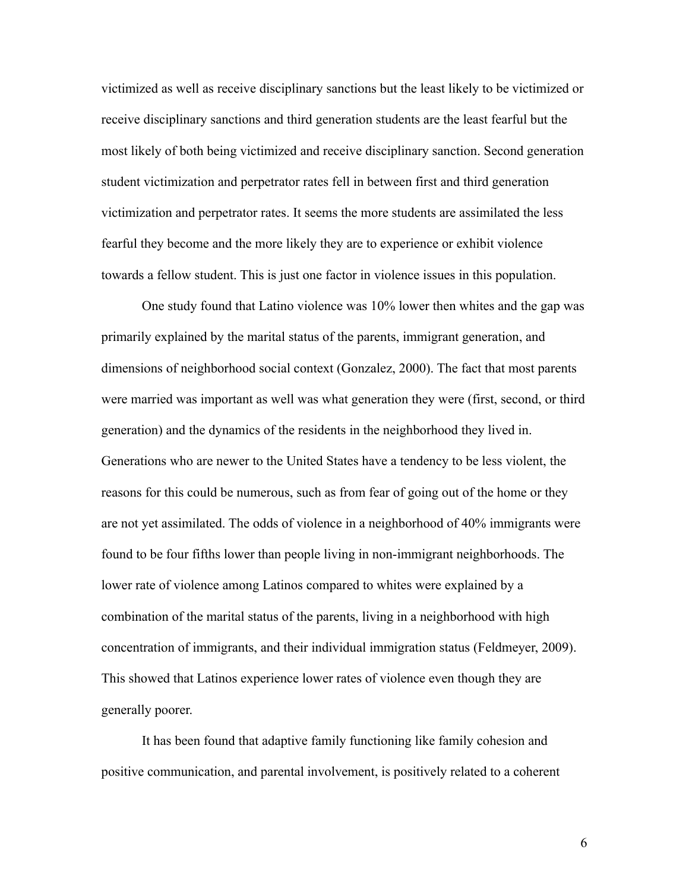victimized as well as receive disciplinary sanctions but the least likely to be victimized or receive disciplinary sanctions and third generation students are the least fearful but the most likely of both being victimized and receive disciplinary sanction. Second generation student victimization and perpetrator rates fell in between first and third generation victimization and perpetrator rates. It seems the more students are assimilated the less fearful they become and the more likely they are to experience or exhibit violence towards a fellow student. This is just one factor in violence issues in this population.

One study found that Latino violence was 10% lower then whites and the gap was primarily explained by the marital status of the parents, immigrant generation, and dimensions of neighborhood social context (Gonzalez, 2000). The fact that most parents were married was important as well was what generation they were (first, second, or third generation) and the dynamics of the residents in the neighborhood they lived in. Generations who are newer to the United States have a tendency to be less violent, the reasons for this could be numerous, such as from fear of going out of the home or they are not yet assimilated. The odds of violence in a neighborhood of 40% immigrants were found to be four fifths lower than people living in non-immigrant neighborhoods. The lower rate of violence among Latinos compared to whites were explained by a combination of the marital status of the parents, living in a neighborhood with high concentration of immigrants, and their individual immigration status (Feldmeyer, 2009). This showed that Latinos experience lower rates of violence even though they are generally poorer.

It has been found that adaptive family functioning like family cohesion and positive communication, and parental involvement, is positively related to a coherent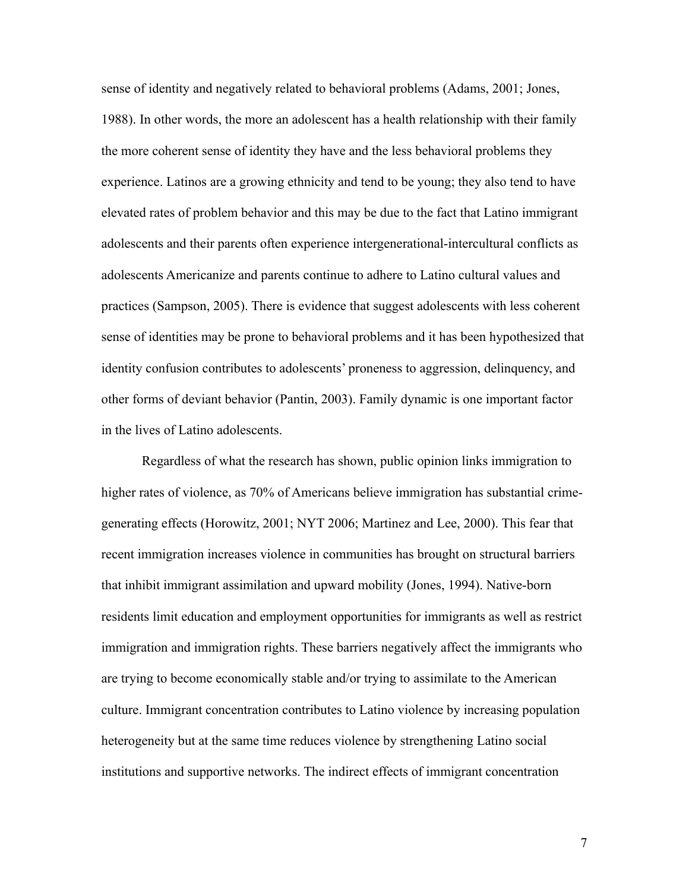sense of identity and negatively related to behavioral problems (Adams, 2001; Jones, 1988). In other words, the more an adolescent has a health relationship with their family the more coherent sense of identity they have and the less behavioral problems they experience. Latinos are a growing ethnicity and tend to be young; they also tend to have elevated rates of problem behavior and this may be due to the fact that Latino immigrant adolescents and their parents often experience intergenerational-intercultural conflicts as adolescents Americanize and parents continue to adhere to Latino cultural values and practices (Sampson, 2005). There is evidence that suggest adolescents with less coherent sense of identities may be prone to behavioral problems and it has been hypothesized that identity confusion contributes to adolescents' proneness to aggression, delinquency, and other forms of deviant behavior (Pantin, 2003). Family dynamic is one important factor in the lives of Latino adolescents.

Regardless of what the research has shown, public opinion links immigration to higher rates of violence, as 70% of Americans believe immigration has substantial crimegenerating effects (Horowitz, 2001; NYT 2006; Martinez and Lee, 2000). This fear that recent immigration increases violence in communities has brought on structural barriers that inhibit immigrant assimilation and upward mobility (Jones, 1994). Native-born residents limit education and employment opportunities for immigrants as well as restrict immigration and immigration rights. These barriers negatively affect the immigrants who are trying to become economically stable and/or trying to assimilate to the American culture. Immigrant concentration contributes to Latino violence by increasing population heterogeneity but at the same time reduces violence by strengthening Latino social institutions and supportive networks. The indirect effects of immigrant concentration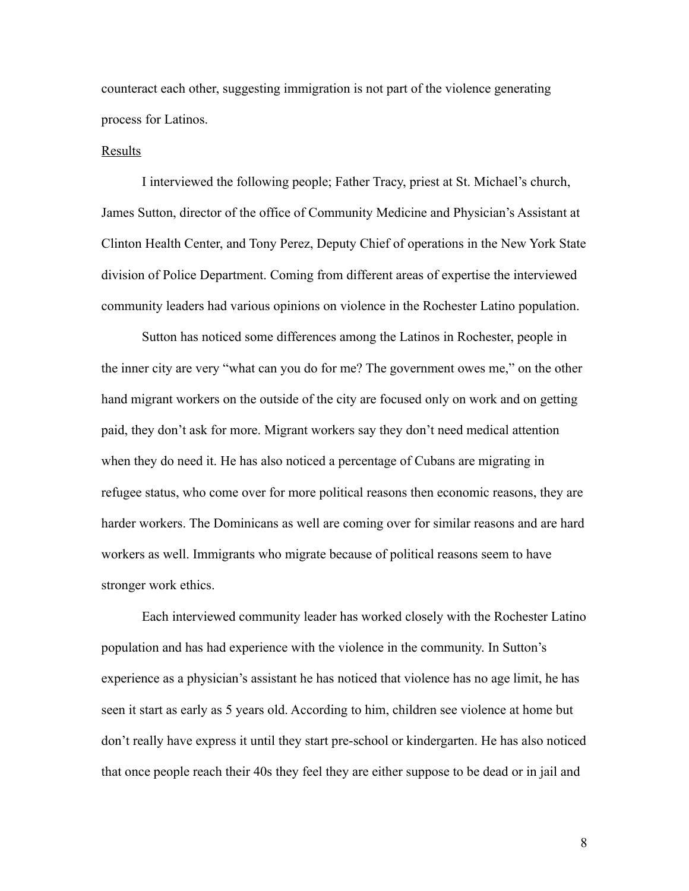counteract each other, suggesting immigration is not part of the violence generating process for Latinos.

# Results

I interviewed the following people; Father Tracy, priest at St. Michael's church, James Sutton, director of the office of Community Medicine and Physician's Assistant at Clinton Health Center, and Tony Perez, Deputy Chief of operations in the New York State division of Police Department. Coming from different areas of expertise the interviewed community leaders had various opinions on violence in the Rochester Latino population.

Sutton has noticed some differences among the Latinos in Rochester, people in the inner city are very "what can you do for me? The government owes me," on the other hand migrant workers on the outside of the city are focused only on work and on getting paid, they don't ask for more. Migrant workers say they don't need medical attention when they do need it. He has also noticed a percentage of Cubans are migrating in refugee status, who come over for more political reasons then economic reasons, they are harder workers. The Dominicans as well are coming over for similar reasons and are hard workers as well. Immigrants who migrate because of political reasons seem to have stronger work ethics.

Each interviewed community leader has worked closely with the Rochester Latino population and has had experience with the violence in the community. In Sutton's experience as a physician's assistant he has noticed that violence has no age limit, he has seen it start as early as 5 years old. According to him, children see violence at home but don't really have express it until they start pre-school or kindergarten. He has also noticed that once people reach their 40s they feel they are either suppose to be dead or in jail and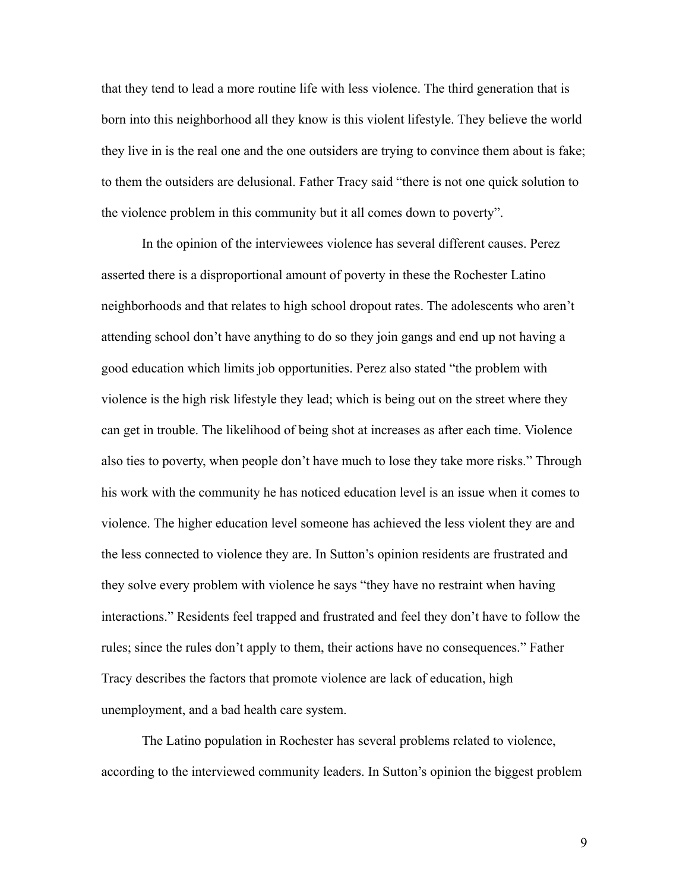that they tend to lead a more routine life with less violence. The third generation that is born into this neighborhood all they know is this violent lifestyle. They believe the world they live in is the real one and the one outsiders are trying to convince them about is fake; to them the outsiders are delusional. Father Tracy said "there is not one quick solution to the violence problem in this community but it all comes down to poverty".

In the opinion of the interviewees violence has several different causes. Perez asserted there is a disproportional amount of poverty in these the Rochester Latino neighborhoods and that relates to high school dropout rates. The adolescents who aren't attending school don't have anything to do so they join gangs and end up not having a good education which limits job opportunities. Perez also stated "the problem with violence is the high risk lifestyle they lead; which is being out on the street where they can get in trouble. The likelihood of being shot at increases as after each time. Violence also ties to poverty, when people don't have much to lose they take more risks." Through his work with the community he has noticed education level is an issue when it comes to violence. The higher education level someone has achieved the less violent they are and the less connected to violence they are. In Sutton's opinion residents are frustrated and they solve every problem with violence he says "they have no restraint when having interactions." Residents feel trapped and frustrated and feel they don't have to follow the rules; since the rules don't apply to them, their actions have no consequences." Father Tracy describes the factors that promote violence are lack of education, high unemployment, and a bad health care system.

The Latino population in Rochester has several problems related to violence, according to the interviewed community leaders. In Sutton's opinion the biggest problem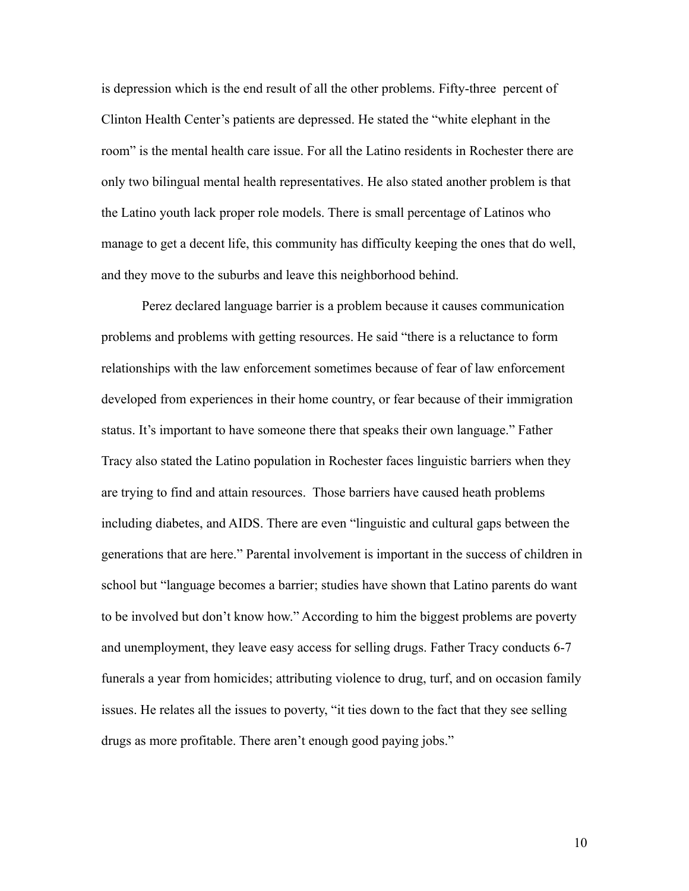is depression which is the end result of all the other problems. Fifty-three percent of Clinton Health Center's patients are depressed. He stated the "white elephant in the room" is the mental health care issue. For all the Latino residents in Rochester there are only two bilingual mental health representatives. He also stated another problem is that the Latino youth lack proper role models. There is small percentage of Latinos who manage to get a decent life, this community has difficulty keeping the ones that do well, and they move to the suburbs and leave this neighborhood behind.

Perez declared language barrier is a problem because it causes communication problems and problems with getting resources. He said "there is a reluctance to form relationships with the law enforcement sometimes because of fear of law enforcement developed from experiences in their home country, or fear because of their immigration status. It's important to have someone there that speaks their own language." Father Tracy also stated the Latino population in Rochester faces linguistic barriers when they are trying to find and attain resources. Those barriers have caused heath problems including diabetes, and AIDS. There are even "linguistic and cultural gaps between the generations that are here." Parental involvement is important in the success of children in school but "language becomes a barrier; studies have shown that Latino parents do want to be involved but don't know how." According to him the biggest problems are poverty and unemployment, they leave easy access for selling drugs. Father Tracy conducts 6-7 funerals a year from homicides; attributing violence to drug, turf, and on occasion family issues. He relates all the issues to poverty, "it ties down to the fact that they see selling drugs as more profitable. There aren't enough good paying jobs."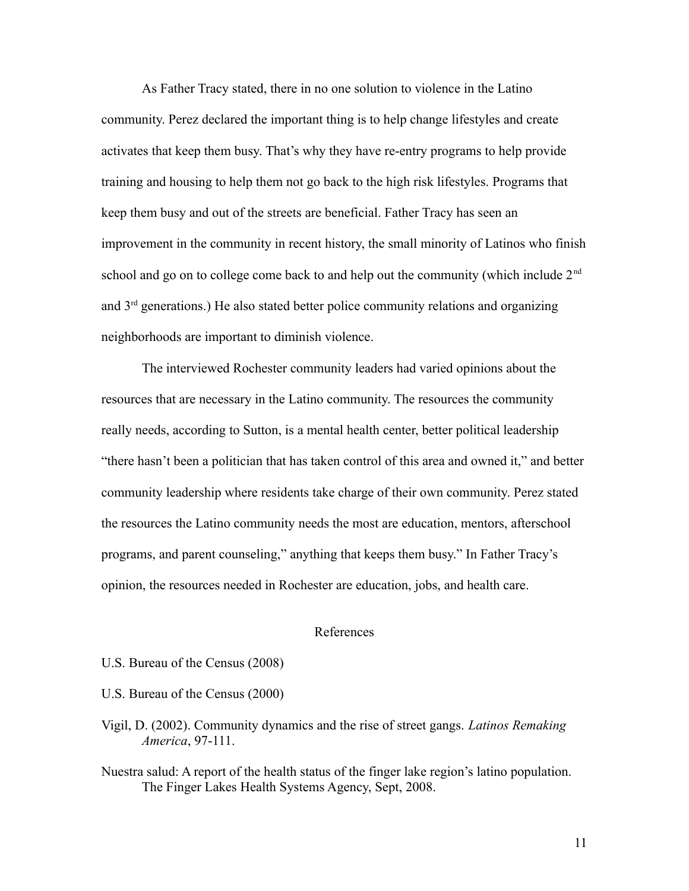As Father Tracy stated, there in no one solution to violence in the Latino community. Perez declared the important thing is to help change lifestyles and create activates that keep them busy. That's why they have re-entry programs to help provide training and housing to help them not go back to the high risk lifestyles. Programs that keep them busy and out of the streets are beneficial. Father Tracy has seen an improvement in the community in recent history, the small minority of Latinos who finish school and go on to college come back to and help out the community (which include  $2<sup>nd</sup>$ and  $3<sup>rd</sup>$  generations.) He also stated better police community relations and organizing neighborhoods are important to diminish violence.

The interviewed Rochester community leaders had varied opinions about the resources that are necessary in the Latino community. The resources the community really needs, according to Sutton, is a mental health center, better political leadership "there hasn't been a politician that has taken control of this area and owned it," and better community leadership where residents take charge of their own community. Perez stated the resources the Latino community needs the most are education, mentors, afterschool programs, and parent counseling," anything that keeps them busy." In Father Tracy's opinion, the resources needed in Rochester are education, jobs, and health care.

# References

- U.S. Bureau of the Census (2008)
- U.S. Bureau of the Census (2000)
- Vigil, D. (2002). Community dynamics and the rise of street gangs. *Latinos Remaking America*, 97-111.
- Nuestra salud: A report of the health status of the finger lake region's latino population. The Finger Lakes Health Systems Agency, Sept, 2008.